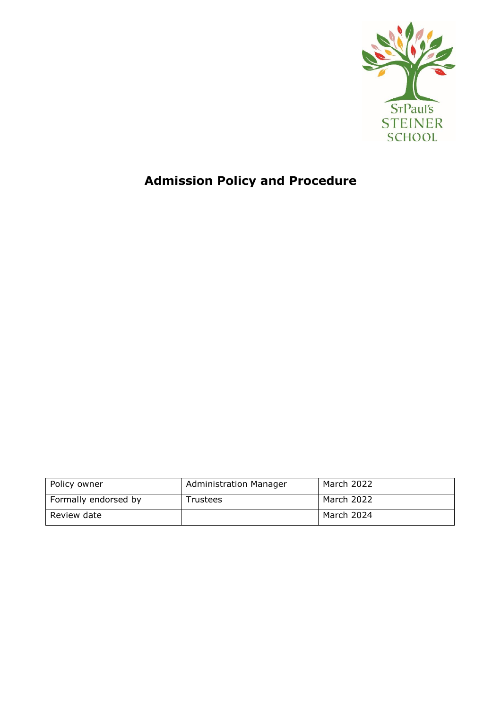

# **Admission Policy and Procedure**

| Policy owner         | <b>Administration Manager</b> | March 2022 |
|----------------------|-------------------------------|------------|
| Formally endorsed by | Trustees                      | March 2022 |
| Review date          |                               | March 2024 |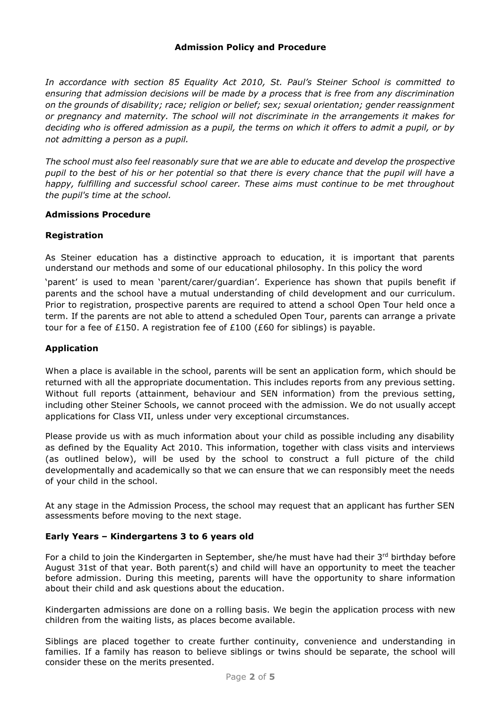# **Admission Policy and Procedure**

*In accordance with section 85 Equality Act 2010, St. Paul's Steiner School is committed to ensuring that admission decisions will be made by a process that is free from any discrimination on the grounds of disability; race; religion or belief; sex; sexual orientation; gender reassignment or pregnancy and maternity. The school will not discriminate in the arrangements it makes for deciding who is offered admission as a pupil, the terms on which it offers to admit a pupil, or by not admitting a person as a pupil.*

*The school must also feel reasonably sure that we are able to educate and develop the prospective pupil to the best of his or her potential so that there is every chance that the pupil will have a happy, fulfilling and successful school career. These aims must continue to be met throughout the pupil's time at the school.*

## **Admissions Procedure**

## **Registration**

As Steiner education has a distinctive approach to education, it is important that parents understand our methods and some of our educational philosophy. In this policy the word

'parent' is used to mean 'parent/carer/guardian'. Experience has shown that pupils benefit if parents and the school have a mutual understanding of child development and our curriculum. Prior to registration, prospective parents are required to attend a school Open Tour held once a term. If the parents are not able to attend a scheduled Open Tour, parents can arrange a private tour for a fee of £150. A registration fee of £100 (£60 for siblings) is payable.

## **Application**

When a place is available in the school, parents will be sent an application form, which should be returned with all the appropriate documentation. This includes reports from any previous setting. Without full reports (attainment, behaviour and SEN information) from the previous setting, including other Steiner Schools, we cannot proceed with the admission. We do not usually accept applications for Class VII, unless under very exceptional circumstances.

Please provide us with as much information about your child as possible including any disability as defined by the Equality Act 2010. This information, together with class visits and interviews (as outlined below), will be used by the school to construct a full picture of the child developmentally and academically so that we can ensure that we can responsibly meet the needs of your child in the school.

At any stage in the Admission Process, the school may request that an applicant has further SEN assessments before moving to the next stage.

#### **Early Years – Kindergartens 3 to 6 years old**

For a child to join the Kindergarten in September, she/he must have had their 3rd birthday before August 31st of that year. Both parent(s) and child will have an opportunity to meet the teacher before admission. During this meeting, parents will have the opportunity to share information about their child and ask questions about the education.

Kindergarten admissions are done on a rolling basis. We begin the application process with new children from the waiting lists, as places become available.

Siblings are placed together to create further continuity, convenience and understanding in families. If a family has reason to believe siblings or twins should be separate, the school will consider these on the merits presented.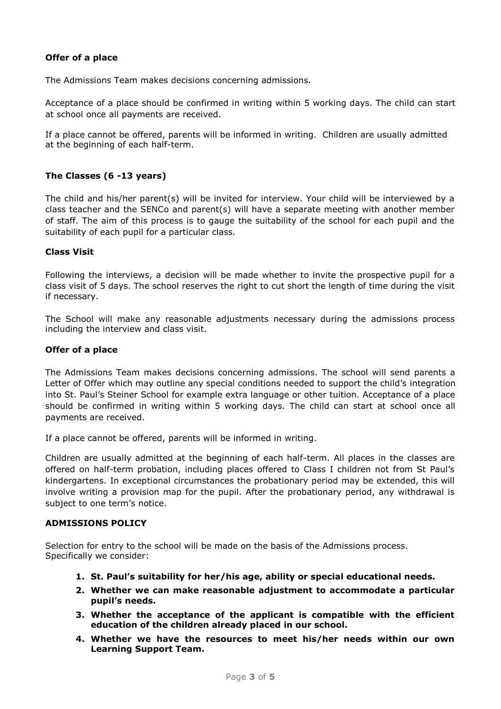# **Offer of a place**

The Admissions Team makes decisions concerning admissions.

Acceptance of a place should be confirmed in writing within 5 working days. The child can start at school once all payments are received.

If a place cannot be offered, parents will be informed in writing. Children are usually admitted at the beginning of each half-term.

# **The Classes (6 -13 years)**

The child and his/her parent(s) will be invited for interview. Your child will be interviewed by a class teacher and the SENCo and parent(s) will have a separate meeting with another member of staff. The aim of this process is to gauge the suitability of the school for each pupil and the suitability of each pupil for a particular class.

#### **Class Visit**

Following the interviews, a decision will be made whether to invite the prospective pupil for a class visit of 5 days. The school reserves the right to cut short the length of time during the visit if necessary.

The School will make any reasonable adjustments necessary during the admissions process including the interview and class visit.

#### **Offer of a place**

The Admissions Team makes decisions concerning admissions. The school will send parents a Letter of Offer which may outline any special conditions needed to support the child's integration into St. Paul's Steiner School for example extra language or other tuition. Acceptance of a place should be confirmed in writing within 5 working days. The child can start at school once all payments are received.

If a place cannot be offered, parents will be informed in writing.

Children are usually admitted at the beginning of each half-term. All places in the classes are offered on half-term probation, including places offered to Class I children not from St Paul's kindergartens. In exceptional circumstances the probationary period may be extended, this will involve writing a provision map for the pupil. After the probationary period, any withdrawal is subject to one term's notice.

#### **ADMISSIONS POLICY**

Selection for entry to the school will be made on the basis of the Admissions process. Specifically we consider:

- **1. St. Paul's suitability for her/his age, ability or special educational needs.**
- **2. Whether we can make reasonable adjustment to accommodate a particular pupil's needs.**
- **3. Whether the acceptance of the applicant is compatible with the efficient education of the children already placed in our school.**
- **4. Whether we have the resources to meet his/her needs within our own Learning Support Team.**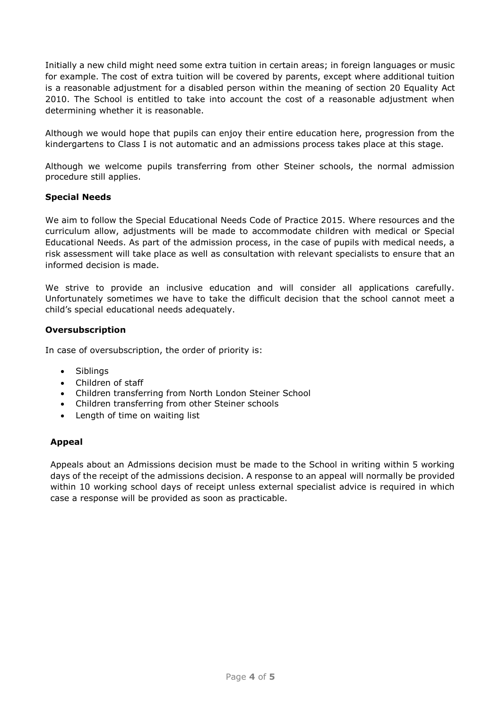Initially a new child might need some extra tuition in certain areas; in foreign languages or music for example. The cost of extra tuition will be covered by parents, except where additional tuition is a reasonable adjustment for a disabled person within the meaning of section 20 Equality Act 2010. The School is entitled to take into account the cost of a reasonable adjustment when determining whether it is reasonable.

Although we would hope that pupils can enjoy their entire education here, progression from the kindergartens to Class I is not automatic and an admissions process takes place at this stage.

Although we welcome pupils transferring from other Steiner schools, the normal admission procedure still applies.

## **Special Needs**

We aim to follow the Special Educational Needs Code of Practice 2015. Where resources and the curriculum allow, adjustments will be made to accommodate children with medical or Special Educational Needs. As part of the admission process, in the case of pupils with medical needs, a risk assessment will take place as well as consultation with relevant specialists to ensure that an informed decision is made.

We strive to provide an inclusive education and will consider all applications carefully. Unfortunately sometimes we have to take the difficult decision that the school cannot meet a child's special educational needs adequately.

#### **Oversubscription**

In case of oversubscription, the order of priority is:

- Siblings
- Children of staff
- Children transferring from North London Steiner School
- Children transferring from other Steiner schools
- Length of time on waiting list

#### **Appeal**

Appeals about an Admissions decision must be made to the School in writing within 5 working days of the receipt of the admissions decision. A response to an appeal will normally be provided within 10 working school days of receipt unless external specialist advice is required in which case a response will be provided as soon as practicable.